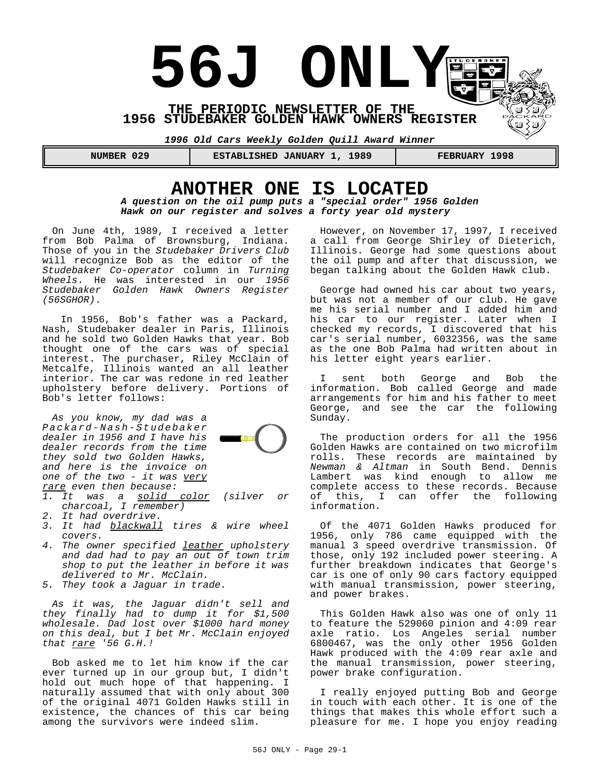

# **ANOTHER ONE IS LOCATED**

*A question on the oil pump puts a "special order" 1956 Golden Hawk on our register and solves a forty year old mystery*

On June 4th, 1989, I received a letter from Bob Palma of Brownsburg, Indiana. Those of you in the *Studebaker Drivers Club* will recognize Bob as the editor of the *Studebaker Co-operator* column in *Turning Wheels*. He was interested in our *1956 Studebaker Golden Hawk Owners Register (56SGHOR)*.

 In 1956, Bob's father was a Packard, Nash, Studebaker dealer in Paris, Illinois and he sold two Golden Hawks that year. Bob thought one of the cars was of special interest. The purchaser, Riley McClain of Metcalfe, Illinois wanted an all leather interior. The car was redone in red leather upholstery before delivery. Portions of Bob's letter follows:

*As you know, my dad was a Packard-Nash-Studebaker dealer in 1956 and I have his dealer records from the time they sold two Golden Hawks, and here is the invoice on one of the two - it was very rare even then because:*



- *1. It was a solid color (silver or charcoal, I remember)*
- *2. It had overdrive.*
- *3. It had blackwall tires & wire wheel covers.*
- *4. The owner specified leather upholstery and dad had to pay an out of town trim shop to put the leather in before it was delivered to Mr. McClain.*
- *5. They took a Jaguar in trade.*

*As it was, the Jaguar didn't sell and they finally had to dump it for \$1,500 wholesale. Dad lost over \$1000 hard money on this deal, but I bet Mr. McClain enjoyed that rare '56 G.H.!*

Bob asked me to let him know if the car ever turned up in our group but, I didn't hold out much hope of that happening. I naturally assumed that with only about 300 of the original 4071 Golden Hawks still in existence, the chances of this car being among the survivors were indeed slim.

However, on November 17, 1997, I received a call from George Shirley of Dieterich, Illinois. George had some questions about the oil pump and after that discussion, we began talking about the Golden Hawk club.

George had owned his car about two years, but was not a member of our club. He gave me his serial number and I added him and his car to our register. Later when I checked my records, I discovered that his car's serial number, 6032356, was the same as the one Bob Palma had written about in his letter eight years earlier.

I sent both George and Bob the information. Bob called George and made arrangements for him and his father to meet George, and see the car the following Sunday.

The production orders for all the 1956 Golden Hawks are contained on two microfilm rolls. These records are maintained by *Newman & Altman* in South Bend. Dennis Lambert was kind enough to allow me complete access to these records. Because of this, I can offer the following information.

Of the 4071 Golden Hawks produced for 1956, only 786 came equipped with the manual 3 speed overdrive transmission. Of those, only 192 included power steering. A further breakdown indicates that George's car is one of only 90 cars factory equipped with manual transmission, power steering, and power brakes.

This Golden Hawk also was one of only 11 to feature the 529060 pinion and 4:09 rear axle ratio. Los Angeles serial number 6800467, was the only other 1956 Golden Hawk produced with the 4:09 rear axle and the manual transmission, power steering, power brake configuration.

I really enjoyed putting Bob and George in touch with each other. It is one of the things that makes this whole effort such a pleasure for me. I hope you enjoy reading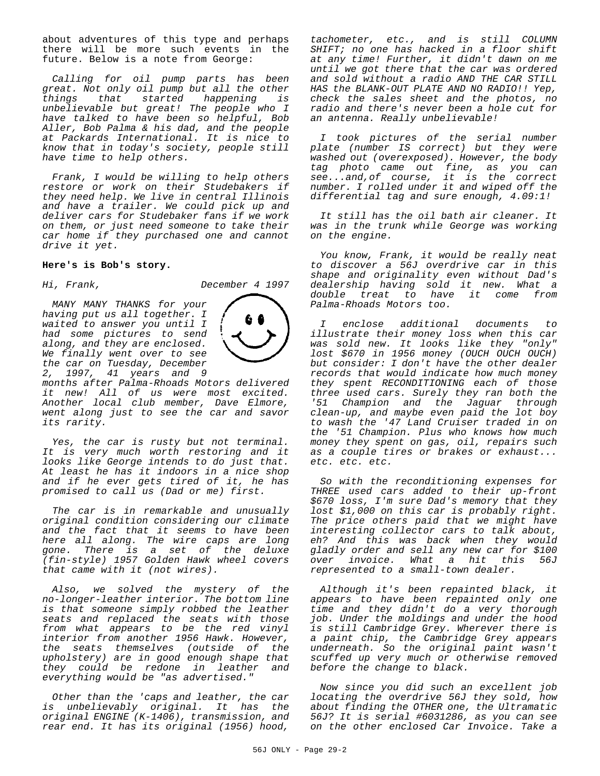about adventures of this type and perhaps there will be more such events in the future. Below is a note from George:

*Calling for oil pump parts has been great. Not only oil pump but all the other things that started happening is unbelievable but great! The people who I have talked to have been so helpful, Bob Aller, Bob Palma & his dad, and the people at Packards International. It is nice to know that in today's society, people still have time to help others.*

*Frank, I would be willing to help others restore or work on their Studebakers if they need help. We live in central Illinois and have a trailer. We could pick up and deliver cars for Studebaker fans if we work on them, or just need someone to take their car home if they purchased one and cannot drive it yet.*

#### **Here's is Bob's story.**

*Hi, Frank, December 4 1997*

*MANY MANY THANKS for your having put us all together. I waited to answer you until I had some pictures to send along, and they are enclosed. We finally went over to see the car on Tuesday, December 2, 1997, 41 years and 9*



*months after Palma-Rhoads Motors delivered it new! All of us were most excited. Another local club member, Dave Elmore, went along just to see the car and savor its rarity.*

*Yes, the car is rusty but not terminal. It is very much worth restoring and it looks like George intends to do just that. At least he has it indoors in a nice shop and if he ever gets tired of it, he has promised to call us (Dad or me) first.*

*The car is in remarkable and unusually original condition considering our climate and the fact that it seems to have been here all along. The wire caps are long gone. There is a set of the deluxe (fin-style) 1957 Golden Hawk wheel covers that came with it (not wires).*

*Also, we solved the mystery of the no-longer-leather interior. The bottom line is that someone simply robbed the leather seats and replaced the seats with those from what appears to be the red vinyl interior from another 1956 Hawk. However, the seats themselves (outside of the upholstery) are in good enough shape that they could be redone in leather and everything would be "as advertised."*

*Other than the 'caps and leather, the car is unbelievably original. It has the original ENGINE (K-1406), transmission, and rear end. It has its original (1956) hood,*

*tachometer, etc., and is still COLUMN SHIFT; no one has hacked in a floor shift at any time! Further, it didn't dawn on me until we got there that the car was ordered and sold without a radio AND THE CAR STILL HAS the BLANK-OUT PLATE AND NO RADIO!! Yep, check the sales sheet and the photos, no radio and there's never been a hole cut for an antenna. Really unbelievable!*

*I took pictures of the serial number plate (number IS correct) but they were washed out (overexposed). However, the body tag photo came out fine, as you can see...and,of course, it is the correct number. I rolled under it and wiped off the differential tag and sure enough, 4.09:1!*

*It still has the oil bath air cleaner. It was in the trunk while George was working on the engine.*

*You know, Frank, it would be really neat to discover a 56J overdrive car in this shape and originality even without Dad's dealership having sold it new. What a double treat to have it come from Palma-Rhoads Motors too.*

*I enclose additional documents to illustrate their money loss when this car was sold new. It looks like they "only" lost \$670 in 1956 money (OUCH OUCH OUCH) but consider: I don't have the other dealer records that would indicate how much money they spent RECONDITIONING each of those three used cars. Surely they ran both the '51 Champion and the Jaguar through clean-up, and maybe even paid the lot boy to wash the '47 Land Cruiser traded in on the '51 Champion. Plus who knows how much money they spent on gas, oil, repairs such as a couple tires or brakes or exhaust... etc. etc. etc.*

*So with the reconditioning expenses for THREE used cars added to their up-front \$670 loss, I'm sure Dad's memory that they lost \$1,000 on this car is probably right. The price others paid that we might have interesting collector cars to talk about, eh? And this was back when they would gladly order and sell any new car for \$100 over invoice. What a hit this 56J represented to a small-town dealer.*

*Although it's been repainted black, it appears to have been repainted only one time and they didn't do a very thorough job. Under the moldings and under the hood is still Cambridge Grey. Wherever there is a paint chip, the Cambridge Grey appears underneath. So the original paint wasn't scuffed up very much or otherwise removed before the change to black.*

*Now since you did such an excellent job locating the overdrive 56J they sold, how about finding the OTHER one, the Ultramatic 56J? It is serial #6031286, as you can see on the other enclosed Car Invoice. Take a*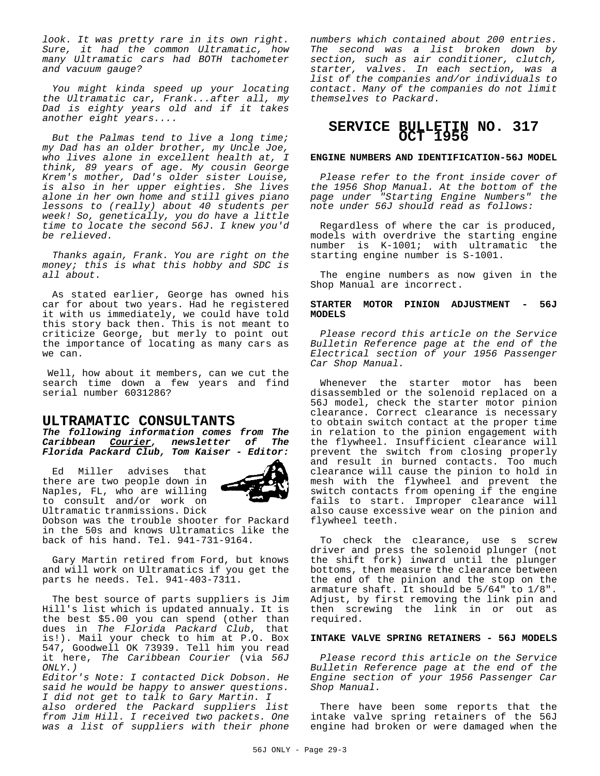*look. It was pretty rare in its own right. Sure, it had the common Ultramatic, how many Ultramatic cars had BOTH tachometer and vacuum gauge?*

*You might kinda speed up your locating the Ultramatic car, Frank...after all, my Dad is eighty years old and if it takes another eight years....*

*But the Palmas tend to live a long time; my Dad has an older brother, my Uncle Joe, who lives alone in excellent health at, I think, 89 years of age. My cousin George Krem's mother, Dad's older sister Louise, is also in her upper eighties. She lives alone in her own home and still gives piano lessons to (really) about 40 students per week! So, genetically, you do have a little time to locate the second 56J. I knew you'd be relieved.*

*Thanks again, Frank. You are right on the money; this is what this hobby and SDC is all about.*

As stated earlier, George has owned his car for about two years. Had he registered it with us immediately, we could have told this story back then. This is not meant to criticize George, but merly to point out the importance of locating as many cars as we can.

 Well, how about it members, can we cut the search time down a few years and find serial number 6031286?

### **ULTRAMATIC CONSULTANTS**

*The following information comes from The Caribbean Courier, newsletter of The Florida Packard Club, Tom Kaiser - Editor:*

Ed Miller advises that there are two people down in Naples, FL, who are willing to consult and/or work on Ultramatic tranmissions. Dick



Dobson was the trouble shooter for Packard in the 50s and knows Ultramatics like the back of his hand. Tel. 941-731-9164.

Gary Martin retired from Ford, but knows and will work on Ultramatics if you get the parts he needs. Tel. 941-403-7311.

The best source of parts suppliers is Jim Hill's list which is updated annualy. It is the best \$5.00 you can spend (other than dues in *The Florida Packard Club*, that is!). Mail your check to him at P.O. Box 547, Goodwell OK 73939. Tell him you read it here, *The Caribbean Courier* (via *56J ONLY.)*

*Editor's Note: I contacted Dick Dobson. He said he would be happy to answer questions. I did not get to talk to Gary Martin. I also ordered the Packard suppliers list from Jim Hill. I received two packets. One was a list of suppliers with their phone* *numbers which contained about 200 entries. The second was a list broken down by section, such as air conditioner, clutch, starter, valves. In each section, was a list of the companies and/or individuals to contact. Many of the companies do not limit themselves to Packard*.

### **SERVICE BULLETIN NO. 317 OCT 1956**

#### **ENGINE NUMBERS AND IDENTIFICATION-56J MODEL**

*Please refer to the front inside cover of the 1956 Shop Manual. At the bottom of the page under "Starting Engine Numbers" the note under 56J should read as follows:*

Regardless of where the car is produced, models with overdrive the starting engine number is K-1001; with ultramatic the starting engine number is S-1001.

The engine numbers as now given in the Shop Manual are incorrect.

#### **STARTER MOTOR PINION ADJUSTMENT - 56J MODELS**

*Please record this article on the Service Bulletin Reference page at the end of the Electrical section of your 1956 Passenger Car Shop Manual.*

Whenever the starter motor has been disassembled or the solenoid replaced on a 56J model, check the starter motor pinion clearance. Correct clearance is necessary to obtain switch contact at the proper time in relation to the pinion engagement with the flywheel. Insufficient clearance will prevent the switch from closing properly and result in burned contacts. Too much clearance will cause the pinion to hold in mesh with the flywheel and prevent the switch contacts from opening if the engine fails to start. Improper clearance will also cause excessive wear on the pinion and flywheel teeth.

To check the clearance, use s screw driver and press the solenoid plunger (not the shift fork) inward until the plunger bottoms, then measure the clearance between the end of the pinion and the stop on the armature shaft. It should be 5/64" to 1/8". Adjust, by first removing the link pin and then screwing the link in or out as required.

#### **INTAKE VALVE SPRING RETAINERS - 56J MODELS**

*Please record this article on the Service Bulletin Reference page at the end of the Engine section of your 1956 Passenger Car Shop Manual.*

There have been some reports that the intake valve spring retainers of the 56J engine had broken or were damaged when the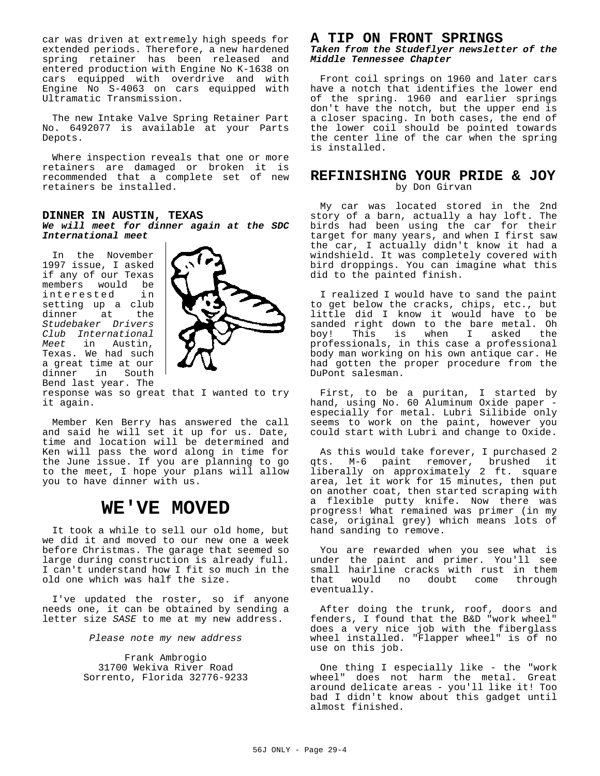car was driven at extremely high speeds for extended periods. Therefore, a new hardened spring retainer has been released and entered production with Engine No K-1638 on cars equipped with overdrive and with Engine No S-4063 on cars equipped with Ultramatic Transmission.

The new Intake Valve Spring Retainer Part No. 6492077 is available at your Parts Depots.

Where inspection reveals that one or more retainers are damaged or broken it is recommended that a complete set of new retainers be installed.

#### **DINNER IN AUSTIN, TEXAS** *We will meet for dinner again at the SDC International meet*

In the November 1997 issue, I asked if any of our Texas members would be<br>interested in interested in setting up a club<br>dinner at the dinner at the *Studebaker Drivers Club International Meet* in Austin, Texas. We had such a great time at our dinner in South Bend last year. The



response was so great that I wanted to try it again.

Member Ken Berry has answered the call and said he will set it up for us. Date, time and location will be determined and Ken will pass the word along in time for the June issue. If you are planning to go to the meet, I hope your plans will allow you to have dinner with us.

# **WE'VE MOVED**

It took a while to sell our old home, but we did it and moved to our new one a week before Christmas. The garage that seemed so large during construction is already full. I can't understand how I fit so much in the old one which was half the size.

I've updated the roster, so if anyone needs one, it can be obtained by sending a letter size *SASE* to me at my new address.

*Please note my new address*

Frank Ambrogio 31700 Wekiva River Road Sorrento, Florida 32776-9233

# **A TIP ON FRONT SPRINGS**

*Taken from the Studeflyer newsletter of the Middle Tennessee Chapter*

Front coil springs on 1960 and later cars have a notch that identifies the lower end of the spring. 1960 and earlier springs don't have the notch, but the upper end is a closer spacing. In both cases, the end of the lower coil should be pointed towards the center line of the car when the spring is installed.

## **REFINISHING YOUR PRIDE & JOY** by Don Girvan

My car was located stored in the 2nd story of a barn, actually a hay loft. The birds had been using the car for their target for many years, and when I first saw the car, I actually didn't know it had a windshield. It was completely covered with bird droppings. You can imagine what this did to the painted finish.

I realized I would have to sand the paint to get below the cracks, chips, etc., but little did I know it would have to be sanded right down to the bare metal. Oh<br>boy! This is when I asked the This is when I asked the professionals, in this case a professional body man working on his own antique car. He had gotten the proper procedure from the DuPont salesman.

First, to be a puritan, I started by hand, using No. 60 Aluminum Oxide paper especially for metal. Lubri Silibide only seems to work on the paint, however you could start with Lubri and change to Oxide.

As this would take forever, I purchased 2 qts. M-6 paint remover, brushed it liberally on approximately 2 ft. square area, let it work for 15 minutes, then put on another coat, then started scraping with a flexible putty knife. Now there was progress! What remained was primer (in my case, original grey) which means lots of hand sanding to remove.

You are rewarded when you see what is under the paint and primer. You'll see small hairline cracks with rust in them that would no doubt come through eventually.

After doing the trunk, roof, doors and fenders, I found that the B&D "work wheel" does a very nice job with the fiberglass wheel installed. "Flapper wheel" is of no use on this job.

One thing I especially like - the "work wheel" does not harm the metal. Great around delicate areas - you'll like it! Too bad I didn't know about this gadget until almost finished.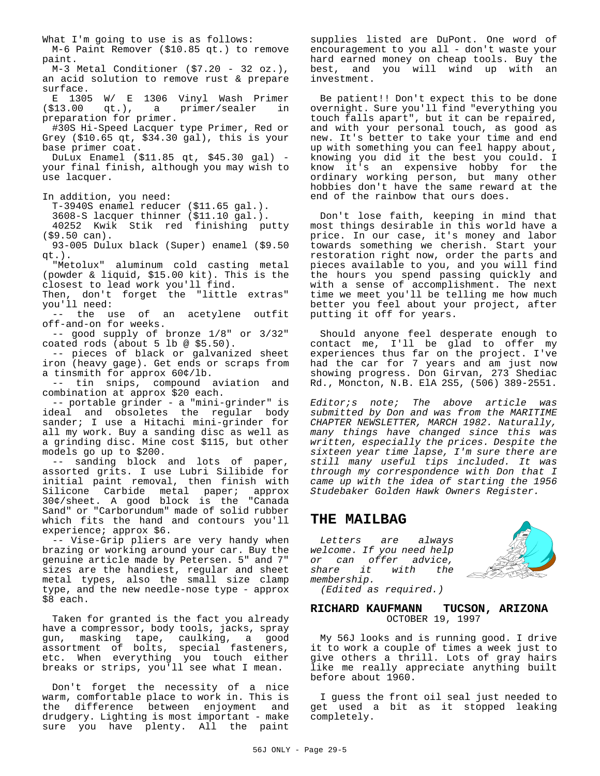M-6 Paint Remover (\$10.85 qt.) to remove paint. M-3 Metal Conditioner (\$7.20 - 32 oz.), an acid solution to remove rust & prepare surface. E 1305 W/ E 1306 Vinyl Wash Primer (\$13.00 qt.), a primer/sealer in preparation for primer. #30S Hi-Speed Lacquer type Primer, Red or Grey (\$10.65 qt, \$34.30 gal), this is your base primer coat. DuLux Enamel (\$11.85 qt, \$45.30 gal) your final finish, although you may wish to use lacquer. In addition, you need: T-3940S enamel reducer (\$11.65 gal.). 3608-S lacquer thinner (\$11.10 gal.). 40252 Kwik Stik red finishing putty (\$9.50 can). 93-005 Dulux black (Super) enamel (\$9.50 qt.). "Metolux" aluminum cold casting metal (powder & liquid, \$15.00 kit). This is the closest to lead work you'll find. Then, don't forget the "little extras" you'll need: -- the use of an acetylene outfit off-and-on for weeks. -- good supply of bronze 1/8" or 3/32" coated rods (about 5 lb @ \$5.50). -- pieces of black or galvanized sheet iron (heavy gage). Get ends or scraps from a tinsmith for approx 60¢/lb. -- tin snips, compound aviation and combination at approx \$20 each. -- portable grinder - a "mini-grinder" is ideal and obsoletes the regular body sander; I use a Hitachi mini-grinder for all my work. Buy a sanding disc as well as a grinding disc. Mine cost \$115, but other models go up to \$200. -- sanding block and lots of paper, assorted grits. I use Lubri Silibide for initial paint removal, then finish with Silicone Carbide metal paper; approx 30¢/sheet. A good block is the "Canada Sand" or "Carborundum" made of solid rubber which fits the hand and contours you'll experience; approx \$6. -- Vise-Grip pliers are very handy when brazing or working around your car. Buy the genuine article made by Petersen. 5" and 7" sizes are the handiest, regular and sheet metal types, also the small size clamp type, and the new needle-nose type - approx \$8 each. Taken for granted is the fact you already have a compressor, body tools, jacks, spray gun, masking tape, caulking, a good assortment of bolts, special fasteners, etc. When everything you touch either breaks or strips, you'll see what I mean. Don't forget the necessity of a nice warm, comfortable place to work in. This is

the difference between enjoyment and drudgery. Lighting is most important - make sure you have plenty. All the paint

What I'm going to use is as follows:

supplies listed are DuPont. One word of encouragement to you all - don't waste your hard earned money on cheap tools. Buy the best, and you will wind up with an investment.

Be patient!! Don't expect this to be done overnight. Sure you'll find "everything you touch falls apart", but it can be repaired, and with your personal touch, as good as new. It's better to take your time and end up with something you can feel happy about, knowing you did it the best you could. I know it's an expensive hobby for the ordinary working person, but many other hobbies don't have the same reward at the end of the rainbow that ours does.

Don't lose faith, keeping in mind that most things desirable in this world have a price. In our case, it's money and labor towards something we cherish. Start your restoration right now, order the parts and pieces available to you, and you will find the hours you spend passing quickly and with a sense of accomplishment. The next time we meet you'll be telling me how much better you feel about your project, after putting it off for years.

Should anyone feel desperate enough to contact me, I'll be glad to offer my experiences thus far on the project. I've had the car for 7 years and am just now showing progress. Don Girvan, 273 Shediac Rd., Moncton, N.B. ElA 2S5, (506) 389-2551.

*Editor;s note; The above article was submitted by Don and was from the MARITIME CHAPTER NEWSLETTER, MARCH 1982. Naturally, many things have changed since this was written, especially the prices. Despite the sixteen year time lapse, I'm sure there are still many useful tips included. It was through my correspondence with Don that I came up with the idea of starting the 1956 Studebaker Golden Hawk Owners Register.*

## **THE MAILBAG**

*Letters are always welcome. If you need help or can offer advice, share it with the membership.*



#### *(Edited as required.)*

#### **RICHARD KAUFMANN TUCSON, ARIZONA** OCTOBER 19, 1997

My 56J looks and is running good. I drive it to work a couple of times a week just to give others a thrill. Lots of gray hairs like me really appreciate anything built before about 1960.

I guess the front oil seal just needed to get used a bit as it stopped leaking completely.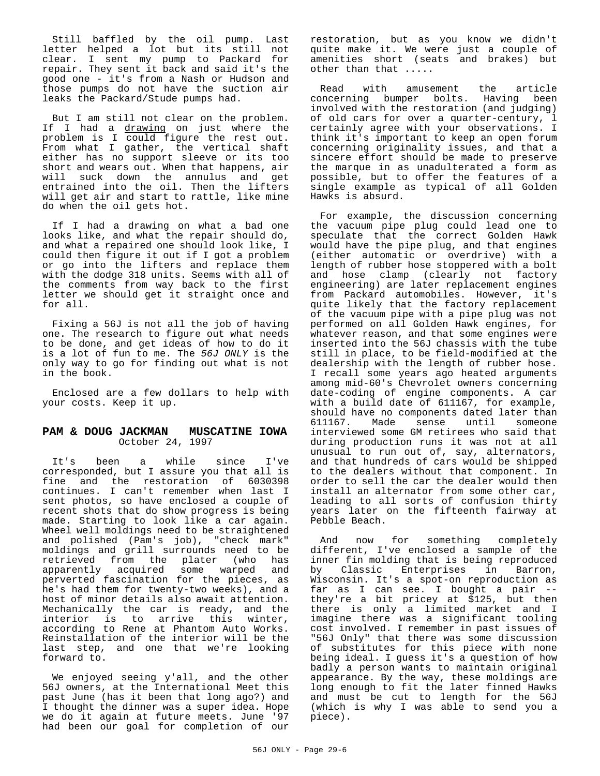Still baffled by the oil pump. Last letter helped a lot but its still not clear. I sent my pump to Packard for repair. They sent it back and said it's the good one - it's from a Nash or Hudson and those pumps do not have the suction air leaks the Packard/Stude pumps had.

But I am still not clear on the problem. If I had a drawing on just where the problem is I could figure the rest out. From what I gather, the vertical shaft either has no support sleeve or its too short and wears out. When that happens, air will suck down the annulus and get entrained into the oil. Then the lifters will get air and start to rattle, like mine do when the oil gets hot.

If I had a drawing on what a bad one looks like, and what the repair should do, and what a repaired one should look like, I could then figure it out if I got a problem or go into the lifters and replace them with the dodge 318 units. Seems with all of the comments from way back to the first letter we should get it straight once and for all.

Fixing a 56J is not all the job of having one. The research to figure out what needs to be done, and get ideas of how to do it is a lot of fun to me. The *56J ONLY* is the only way to go for finding out what is not in the book.

Enclosed are a few dollars to help with your costs. Keep it up.

#### **PAM & DOUG JACKMAN MUSCATINE IOWA** October 24, 1997

It's been a while since I've corresponded, but I assure you that all is fine and the restoration of 6030398 continues. I can't remember when last I sent photos, so have enclosed a couple of recent shots that do show progress is being made. Starting to look like a car again. Wheel well moldings need to be straightened and polished (Pam's job), "check mark" moldings and grill surrounds need to be retrieved from the plater (who has<br>apparently acquired some warped and apparently acquired some warped and perverted fascination for the pieces, as he's had them for twenty-two weeks), and a host of minor details also await attention. Mechanically the car is ready, and the interior is to arrive this winter, according to Rene at Phantom Auto Works. Reinstallation of the interior will be the last step, and one that we're looking forward to.

We enjoyed seeing y'all, and the other 56J owners, at the International Meet this past June (has it been that long ago?) and I thought the dinner was a super idea. Hope we do it again at future meets. June '97 had been our goal for completion of our

restoration, but as you know we didn't quite make it. We were just a couple of amenities short (seats and brakes) but other than that .....

Read with amusement the article concerning bumper bolts. Having been involved with the restoration (and judging) of old cars for over a quarter-century, l certainly agree with your observations. I think it's important to keep an open forum concerning originality issues, and that a sincere effort should be made to preserve the marque in as unadulterated a form as possible, but to offer the features of a single example as typical of all Golden Hawks is absurd.

For example, the discussion concerning the vacuum pipe plug could lead one to speculate that the correct Golden Hawk would have the pipe plug, and that engines (either automatic or overdrive) with a length of rubber hose stoppered with a bolt and hose clamp (clearly not factory engineering) are later replacement engines from Packard automobiles. However, it's quite likely that the factory replacement of the vacuum pipe with a pipe plug was not performed on all Golden Hawk engines, for whatever reason, and that some engines were inserted into the 56J chassis with the tube still in place, to be field-modified at the dealership with the length of rubber hose. I recall some years ago heated arguments among mid-60's Chevrolet owners concerning date-coding of engine components. A car with a build date of 611167, for example, should have no components dated later than 611167. Made sense until someone interviewed some GM retirees who said that during production runs it was not at all unusual to run out of, say, alternators, and that hundreds of cars would be shipped to the dealers without that component. In order to sell the car the dealer would then install an alternator from some other car, leading to all sorts of confusion thirty years later on the fifteenth fairway at Pebble Beach.

And now for something completely different, I've enclosed a sample of the inner fin molding that is being reproduced by Classic Enterprises in Barron, Wisconsin. It's a spot-on reproduction as far as I can see. I bought a pair - they're a bit pricey at \$125, but then there is only a limited market and I imagine there was a significant tooling cost involved. I remember in past issues of "56J Only" that there was some discussion of substitutes for this piece with none being ideal. I guess it's a question of how badly a person wants to maintain original appearance. By the way, these moldings are long enough to fit the later finned Hawks and must be cut to length for the 56J (which is why I was able to send you a piece).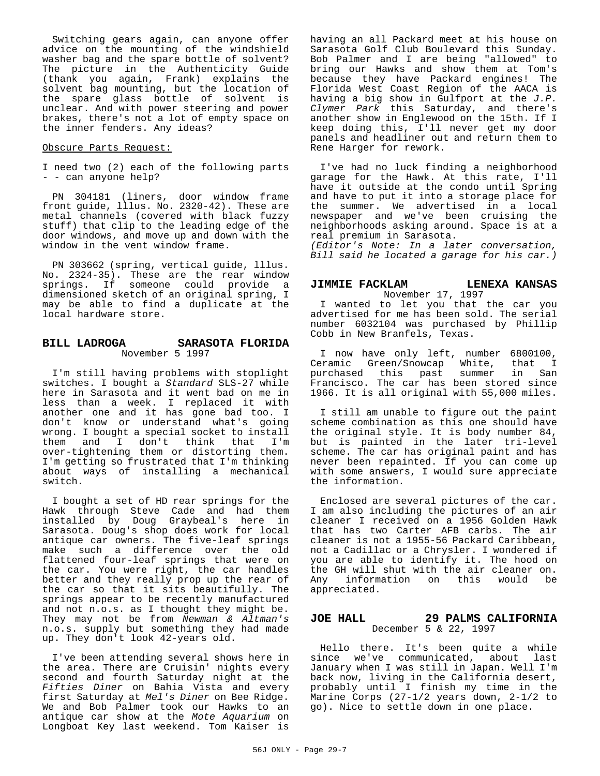Switching gears again, can anyone offer advice on the mounting of the windshield washer bag and the spare bottle of solvent? The picture in the Authenticity Guide (thank you again, Frank) explains the solvent bag mounting, but the location of the spare glass bottle of solvent is unclear. And with power steering and power brakes, there's not a lot of empty space on the inner fenders. Any ideas?

#### Obscure Parts Request:

I need two (2) each of the following parts - - can anyone help?

PN 304181 (liners, door window frame front guide, lllus. No. 2320-42). These are metal channels (covered with black fuzzy stuff) that clip to the leading edge of the door windows, and move up and down with the window in the vent window frame.

PN 303662 (spring, vertical guide, lllus. No. 2324-35). These are the rear window springs. If someone could provide a dimensioned sketch of an original spring, I may be able to find a duplicate at the local hardware store.

#### **BILL LADROGA SARASOTA FLORIDA** November 5 1997

I'm still having problems with stoplight switches. I bought a *Standard* SLS-27 while here in Sarasota and it went bad on me in less than a week. I replaced it with another one and it has gone bad too. I don't know or understand what's going wrong. I bought a special socket to install them and I don't think that I'm over-tightening them or distorting them. I'm getting so frustrated that I'm thinking about ways of installing a mechanical switch.

I bought a set of HD rear springs for the Hawk through Steve Cade and had them installed by Doug Graybeal's here in Sarasota. Doug's shop does work for local antique car owners. The five-leaf springs make such a difference over the old flattened four-leaf springs that were on the car. You were right, the car handles better and they really prop up the rear of the car so that it sits beautifully. The springs appear to be recently manufactured and not n.o.s. as I thought they might be. They may not be from *Newman & Altman's* n.o.s. supply but something they had made up. They don't look 42-years old.

I've been attending several shows here in the area. There are Cruisin' nights every second and fourth Saturday night at the *Fifties Diner* on Bahia Vista and every first Saturday at *Mel's Diner* on Bee Ridge. We and Bob Palmer took our Hawks to an antique car show at the *Mote Aquarium* on Longboat Key last weekend. Tom Kaiser is

having an all Packard meet at his house on Sarasota Golf Club Boulevard this Sunday. Bob Palmer and I are being "allowed" to bring our Hawks and show them at Tom's because they have Packard engines! The Florida West Coast Region of the AACA is having a big show in Gulfport at the *J.P. Clymer Park* this Saturday, and there's another show in Englewood on the 15th. If I keep doing this, I'll never get my door panels and headliner out and return them to Rene Harger for rework.

I've had no luck finding a neighborhood garage for the Hawk. At this rate, I'll have it outside at the condo until Spring and have to put it into a storage place for the summer. We advertised in a local newspaper and we've been cruising the neighborhoods asking around. Space is at a real premium in Sarasota.

*(Editor's Note: In a later conversation, Bill said he located a garage for his car.)*

### **JIMMIE FACKLAM LENEXA KANSAS**

November 17, 1997 I wanted to let you that the car you advertised for me has been sold. The serial number 6032104 was purchased by Phillip Cobb in New Branfels, Texas.

I now have only left, number 6800100, Ceramic Green/Snowcap White, that I purchased this past summer in San Francisco. The car has been stored since 1966. It is all original with 55,000 miles.

I still am unable to figure out the paint scheme combination as this one should have the original style. It is body number 84, but is painted in the later tri-level scheme. The car has original paint and has never been repainted. If you can come up with some answers, I would sure appreciate the information.

Enclosed are several pictures of the car. I am also including the pictures of an air cleaner I received on a 1956 Golden Hawk that has two Carter AFB carbs. The air cleaner is not a 1955-56 Packard Caribbean, not a Cadillac or a Chrysler. I wondered if you are able to identify it. The hood on the GH will shut with the air cleaner on. Any information on this would be appreciated.

#### **JOE HALL 29 PALMS CALIFORNIA** December 5 & 22, 1997

Hello there. It's been quite a while since we've communicated, about last January when I was still in Japan. Well I'm back now, living in the California desert, probably until I finish my time in the Marine Corps (27-1/2 years down, 2-1/2 to go). Nice to settle down in one place.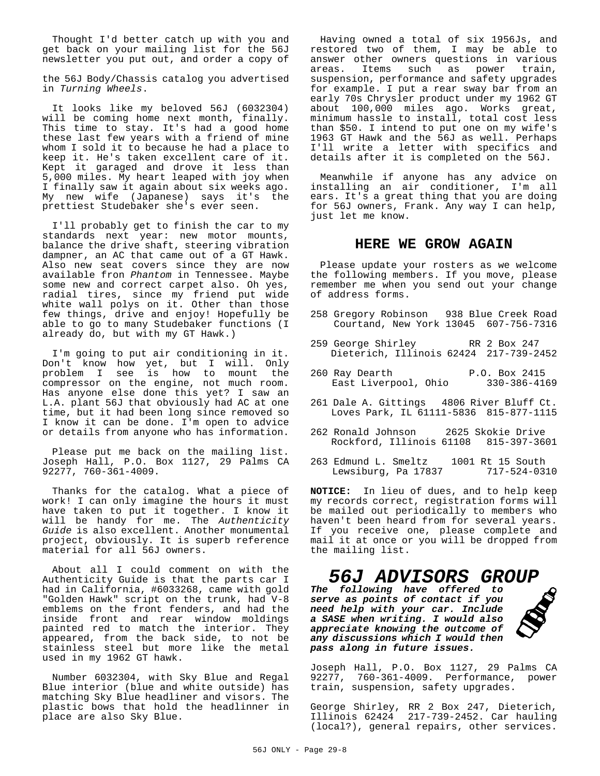Thought I'd better catch up with you and get back on your mailing list for the 56J newsletter you put out, and order a copy of

the 56J Body/Chassis catalog you advertised in *Turning Wheels*.

It looks like my beloved 56J (6032304) will be coming home next month, finally. This time to stay. It's had a good home these last few years with a friend of mine whom I sold it to because he had a place to keep it. He's taken excellent care of it. Kept it garaged and drove it less than 5,000 miles. My heart leaped with joy when I finally saw it again about six weeks ago. My new wife (Japanese) says it's the prettiest Studebaker she's ever seen.

I'll probably get to finish the car to my standards next year: new motor mounts, balance the drive shaft, steering vibration dampner, an AC that came out of a GT Hawk. Also new seat covers since they are now available fron *Phantom* in Tennessee. Maybe some new and correct carpet also. Oh yes, radial tires, since my friend put wide white wall polys on it. Other than those few things, drive and enjoy! Hopefully be able to go to many Studebaker functions (I already do, but with my GT Hawk.)

I'm going to put air conditioning in it. Don't know how yet, but I will. Only problem I see is how to mount the compressor on the engine, not much room. Has anyone else done this yet? I saw an L.A. plant 56J that obviously had AC at one time, but it had been long since removed so I know it can be done. I'm open to advice or details from anyone who has information.

Please put me back on the mailing list. Joseph Hall, P.O. Box 1127, 29 Palms CA 92277, 760-361-4009.

Thanks for the catalog. What a piece of work! I can only imagine the hours it must have taken to put it together. I know it will be handy for me. The *Authenticity Guide* is also excellent. Another monumental project, obviously. It is superb reference material for all 56J owners.

About all I could comment on with the Authenticity Guide is that the parts car I had in California, #6033268, came with gold "Golden Hawk" script on the trunk, had V-8 emblems on the front fenders, and had the inside front and rear window moldings painted red to match the interior. They appeared, from the back side, to not be stainless steel but more like the metal used in my 1962 GT hawk.

Number 6032304, with Sky Blue and Regal Blue interior (blue and white outside) has matching Sky Blue headliner and visors. The plastic bows that hold the headlinner in place are also Sky Blue.

Having owned a total of six 1956Js, and restored two of them, I may be able to answer other owners questions in various areas. Items such as power train, suspension, performance and safety upgrades for example. I put a rear sway bar from an early 70s Chrysler product under my 1962 GT about 100,000 miles ago. Works great, minimum hassle to install, total cost less than \$50. I intend to put one on my wife's 1963 GT Hawk and the 56J as well. Perhaps I'll write a letter with specifics and details after it is completed on the 56J.

Meanwhile if anyone has any advice on installing an air conditioner, I'm all ears. It's a great thing that you are doing for 56J owners, Frank. Any way I can help, just let me know.

### **HERE WE GROW AGAIN**

Please update your rosters as we welcome the following members. If you move, please remember me when you send out your change of address forms.

- 258 Gregory Robinson 938 Blue Creek Road Courtand, New York 13045 607-756-7316
- 259 George Shirley RR 2 Box 247 Dieterich, Illinois 62424 217-739-2452
- 260 Ray Dearth P.O. Box 2415<br>East Liverpool, Ohio 330-386-4169 East Liverpool, Ohio
- 261 Dale A. Gittings 4806 River Bluff Ct. Loves Park, IL 61111-5836 815-877-1115
- 262 Ronald Johnson 2625 Skokie Drive Rockford, Illinois 61108 815-397-3601
- 263 Edmund L. Smeltz 1001 Rt 15 South Lewsiburg, Pa 17837

**NOTICE:** In lieu of dues, and to help keep my records correct, registration forms will be mailed out periodically to members who haven't been heard from for several years. If you receive one, please complete and mail it at once or you will be dropped from the mailing list.

# *56J ADVISORS GROUP*

*The following have offered to serve as points of contact if you need help with your car. Include a SASE when writing. I would also appreciate knowing the outcome of any discussions which I would then pass along in future issues.*



Joseph Hall, P.O. Box 1127, 29 Palms CA 92277, 760-361-4009. Performance, power train, suspension, safety upgrades.

George Shirley, RR 2 Box 247, Dieterich, Illinois 62424 217-739-2452. Car hauling (local?), general repairs, other services.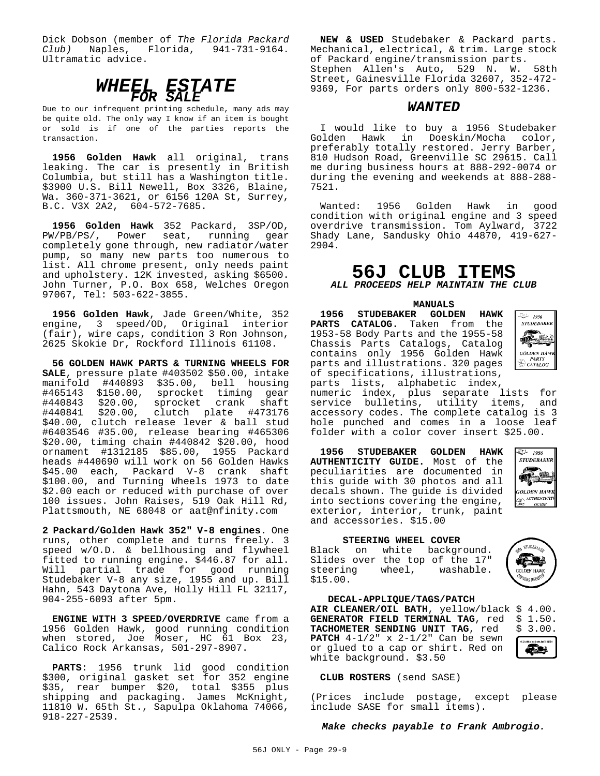Dick Dobson (member of *The Florida Packard Club)* Naples, Florida, 941-731-9164. Ultramatic advice.



Due to our infrequent printing schedule, many ads may be quite old. The only way I know if an item is bought or sold is if one of the parties reports the transaction.

**1956 Golden Hawk** all original, trans leaking. The car is presently in British Columbia, but still has a Washington title. \$3900 U.S. Bill Newell, Box 3326, Blaine, Wa. 360-371-3621, or 6156 120A St, Surrey, B.C. V3X 2A2, 604-572-7685.

**1956 Golden Hawk** 352 Packard, 3SP/OD, PW/PB/PS/, Power seat, running gear completely gone through, new radiator/water pump, so many new parts too numerous to list. All chrome present, only needs paint and upholstery. 12K invested, asking \$6500. John Turner, P.O. Box 658, Welches Oregon 97067, Tel: 503-622-3855.

**1956 Golden Hawk**, Jade Green/White, 352 engine, 3 speed/OD, Original interior (fair), wire caps, condition 3 Ron Johnson, 2625 Skokie Dr, Rockford Illinois 61108.

**56 GOLDEN HAWK PARTS & TURNING WHEELS FOR SALE**, pressure plate #403502 \$50.00, intake manifold #440893 \$35.00, bell housing #465143 \$150.00, sprocket timing gear #440843 \$20.00, sprocket crank shaft #440841 \$20.00, clutch plate #473176 \$40.00, clutch release lever & ball stud #6403546 #35.00, release bearing #465306 \$20.00, timing chain #440842 \$20.00, hood ornament #1312185 \$85.00, 1955 Packard heads #440690 will work on 56 Golden Hawks \$45.00 each, Packard V-8 crank shaft \$100.00, and Turning Wheels 1973 to date \$2.00 each or reduced with purchase of over 100 issues. John Raises, 519 Oak Hill Rd, Plattsmouth, NE 68048 or aat@nfinity.com

**2 Packard/Golden Hawk 352" V-8 engines.** One runs, other complete and turns freely. 3 speed w/O.D. & bellhousing and flywheel fitted to running engine. \$446.87 for all. Will partial trade for good running Studebaker V-8 any size, 1955 and up. Bill Hahn, 543 Daytona Ave, Holly Hill FL 32117, 904-255-6093 after 5pm.

**ENGINE WITH 3 SPEED/OVERDRIVE** came from a 1956 Golden Hawk, good running condition when stored, Joe Moser, HC 61 Box 23, Calico Rock Arkansas, 501-297-8907.

**PARTS**: 1956 trunk lid good condition \$300, original gasket set for 352 engine \$35, rear bumper \$20, total \$355 plus shipping and packaging. James McKnight, 11810 W. 65th St., Sapulpa Oklahoma 74066, 918-227-2539.

**NEW & USED** Studebaker & Packard parts. Mechanical, electrical, & trim. Large stock of Packard engine/transmission parts. Stephen Allen's Auto, 529 N. W. 58th Street, Gainesville Florida 32607, 352-472- 9369, For parts orders only 800-532-1236.

# *WANTED*

I would like to buy a 1956 Studebaker Golden Hawk in Doeskin/Mocha color, preferably totally restored. Jerry Barber, 810 Hudson Road, Greenville SC 29615. Call me during business hours at 888-292-0074 or during the evening and weekends at 888-288- 7521.

Wanted: 1956 Golden Hawk in good condition with original engine and 3 speed overdrive transmission. Tom Aylward, 3722 Shady Lane, Sandusky Ohio 44870, 419-627- 2904.

# **56J CLUB ITEMS**

*ALL PROCEEDS HELP MAINTAIN THE CLUB*

**MANUALS**

**1956 STUDEBAKER GOLDEN HAWK PARTS CATALOG.** Taken from the 1953-58 Body Parts and the 1955-58 Chassis Parts Catalogs, Catalog contains only 1956 Golden Hawk parts and illustrations. 320 pages of specifications, illustrations, parts lists, alphabetic index,



numeric index, plus separate lists for service bulletins, utility items, and accessory codes. The complete catalog is 3 hole punched and comes in a loose leaf folder with a color cover insert \$25.00.

**1956 STUDEBAKER GOLDEN HAWK AUTHENTICITY GUIDE.** Most of the peculiarities are documented in this guide with 30 photos and all decals shown. The guide is divided into sections covering the engine, exterior, interior, trunk, paint and accessories. \$15.00



STUDEBAKER

**GOLDEN HAWK** WARE REGIS

#### **STEERING WHEEL COVER**

Black on white background. Slides over the top of the 17"<br>steering wheel, washable. steering wheel, \$15.00.

**DECAL-APPLIQUE/TAGS/PATCH AIR CLEANER/OIL BATH**, yellow/black \$ 4.00. **GENERATOR FIELD TERMINAL TAG**, red \$ 1.50.<br>**TACHOMETER SENDING UNIT TAG**, red \$ 3.00. TACHOMETER SENDING UNIT TAG, red **PATCH**  $4-1/2$ " x  $2-1/2$ " Can be sewn

or glued to a cap or shirt. Red on



**CLUB ROSTERS** (send SASE)

white background. \$3.50

(Prices include postage, except please include SASE for small items).

#### *Make checks payable to Frank Ambrogio.*